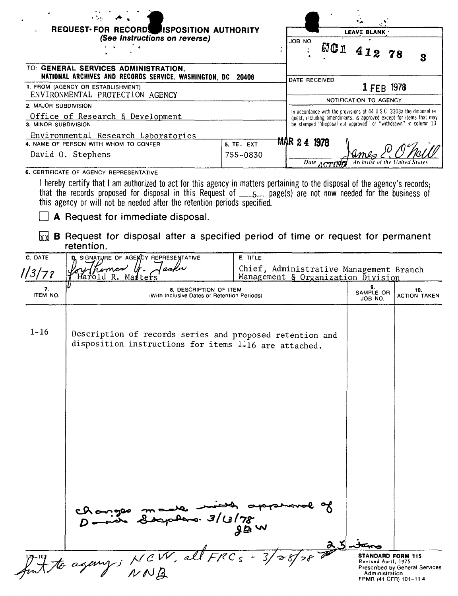| REQUEST-FOR RECORD ISPOSITION AUTHORITY                                                                                                                                                                                                                                                                                    |                                                                               |               |            | LEAVE BLANK                                                                                                                                                                                                  |   |
|----------------------------------------------------------------------------------------------------------------------------------------------------------------------------------------------------------------------------------------------------------------------------------------------------------------------------|-------------------------------------------------------------------------------|---------------|------------|--------------------------------------------------------------------------------------------------------------------------------------------------------------------------------------------------------------|---|
| (See Instructions on reverse)                                                                                                                                                                                                                                                                                              |                                                                               | JOB NO        | <b>NC1</b> | 412 78                                                                                                                                                                                                       | 3 |
| TO: GENERAL SERVICES ADMINISTRATION,<br>NATIONAL ARCHIVES AND RECORDS SERVICE, WASHINGTON, DC 20408                                                                                                                                                                                                                        |                                                                               | DATE RECEIVED |            |                                                                                                                                                                                                              |   |
| 1. FROM (AGENCY OR ESTABLISHMENT)<br>ENVIRONMENTAL PROTECTION AGENCY                                                                                                                                                                                                                                                       |                                                                               |               |            | 1 FEB 1978                                                                                                                                                                                                   |   |
| 2. MAJOR SUBDIVISION                                                                                                                                                                                                                                                                                                       |                                                                               |               |            | NOTIFICATION TO AGENCY                                                                                                                                                                                       |   |
| Office of Research & Development<br>3. MINOR SUBDIVISION                                                                                                                                                                                                                                                                   |                                                                               |               |            | In accordance with the provisions of 44 U.S.C 3303a the disposal re-<br>quest, including amendments, is approved except for items that may<br>be stamped "disposal not approved" or "withdrawn" in column 10 |   |
| Environmental Research Laboratories                                                                                                                                                                                                                                                                                        |                                                                               |               |            |                                                                                                                                                                                                              |   |
| 4. NAME OF PERSON WITH WHOM TO CONFER                                                                                                                                                                                                                                                                                      | 5. TEL EXT                                                                    | MAR 24 1978   |            |                                                                                                                                                                                                              |   |
| David O. Stephens                                                                                                                                                                                                                                                                                                          | 755-0830                                                                      |               |            |                                                                                                                                                                                                              |   |
|                                                                                                                                                                                                                                                                                                                            |                                                                               |               | Date ACTIN |                                                                                                                                                                                                              |   |
| 6. CERTIFICATE OF AGENCY REPRESENTATIVE                                                                                                                                                                                                                                                                                    |                                                                               |               |            |                                                                                                                                                                                                              |   |
| I hereby certify that I am authorized to act for this agency in matters pertaining to the disposal of the agency's records;<br>that the records proposed for disposal in this Request of ______ page(s) are not now needed for the business of<br>this agency or will not be needed after the retention periods specified. |                                                                               |               |            |                                                                                                                                                                                                              |   |
| A Request for immediate disposal.                                                                                                                                                                                                                                                                                          |                                                                               |               |            |                                                                                                                                                                                                              |   |
| <b>B</b> Request for disposal after a specified period of time or request for permanent<br>lx xl<br>retention.                                                                                                                                                                                                             |                                                                               |               |            |                                                                                                                                                                                                              |   |
| D. SIGNATURE OF AGEMOY REPRESENTATIVE<br>C. DATE                                                                                                                                                                                                                                                                           | <b>E. TITLE</b>                                                               |               |            |                                                                                                                                                                                                              |   |
| 113178<br>Harold<br>Masters<br>R.                                                                                                                                                                                                                                                                                          | Chief, Administrative Management Branch<br>Management & Organization Division |               |            |                                                                                                                                                                                                              |   |

| 113/78         | Harold R. Masters'                                                                                                | Management & Organization Division |                                                                                                        |                                |
|----------------|-------------------------------------------------------------------------------------------------------------------|------------------------------------|--------------------------------------------------------------------------------------------------------|--------------------------------|
| 7.<br>ITEM NO. | 8. DESCRIPTION OF ITEM<br>(With Inclusive Dates or Retention Periods)                                             |                                    | 9.<br>SAMPLE OR<br>JOB NO.                                                                             | 10.<br><b>ACTION TAKEN</b>     |
| $1 - 16$       | Description of records series and proposed retention and<br>disposition instructions for items 1.16 are attached. |                                    |                                                                                                        |                                |
|                |                                                                                                                   |                                    |                                                                                                        |                                |
|                | changes made months                                                                                               | 98w                                |                                                                                                        |                                |
|                | font to againg; NCW, all FRCs - 3/28/28                                                                           |                                    | $25 - 3$<br><b>STANDARD FORM 115</b><br>Revised April, 1975<br>Administration<br>FPMR (41 CFR) 101-114 | Prescribed by General Services |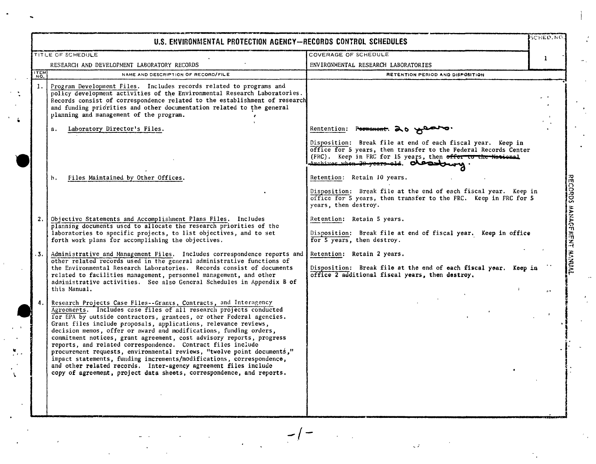|             | U.S. ENVIRONMENTAL PROTECTION AGENCY-RECORDS CONTROL SCHEDULES                                                                                                                                                                                                                                                                                                                                                                                                                                                                                                                                                                                                                                                                                                                             |                                                                                                                                                                                                                                         | SCHED.NO.    |                           |
|-------------|--------------------------------------------------------------------------------------------------------------------------------------------------------------------------------------------------------------------------------------------------------------------------------------------------------------------------------------------------------------------------------------------------------------------------------------------------------------------------------------------------------------------------------------------------------------------------------------------------------------------------------------------------------------------------------------------------------------------------------------------------------------------------------------------|-----------------------------------------------------------------------------------------------------------------------------------------------------------------------------------------------------------------------------------------|--------------|---------------------------|
|             | TITLE OF SCHEDULE                                                                                                                                                                                                                                                                                                                                                                                                                                                                                                                                                                                                                                                                                                                                                                          | COVERAGE OF SCHEDULE                                                                                                                                                                                                                    | $\mathbf{1}$ |                           |
|             | RESEARCH AND DEVELOPMENT LABORATORY RECORDS                                                                                                                                                                                                                                                                                                                                                                                                                                                                                                                                                                                                                                                                                                                                                | ENVIRONMENTAL RESEARCH LABORATORIES                                                                                                                                                                                                     |              |                           |
| <b>ITEM</b> | NAME AND DESCRIPTION OF RECORD/FILE                                                                                                                                                                                                                                                                                                                                                                                                                                                                                                                                                                                                                                                                                                                                                        | RETENTION PERIOD AND DISPOSITION                                                                                                                                                                                                        |              |                           |
| 1.          | Program Development Files. Includes records related to programs and<br>policy development activities of the Environmental Research Laboratories.<br>Records consist of correspondence related to the establishment of research<br>and funding priorities and other documentation related to the general<br>planning and management of the program.                                                                                                                                                                                                                                                                                                                                                                                                                                         |                                                                                                                                                                                                                                         |              |                           |
|             | Laboratory Director's Files.<br>$a$ .                                                                                                                                                                                                                                                                                                                                                                                                                                                                                                                                                                                                                                                                                                                                                      | Rentention: Pormanent. 20 Y                                                                                                                                                                                                             |              |                           |
|             |                                                                                                                                                                                                                                                                                                                                                                                                                                                                                                                                                                                                                                                                                                                                                                                            | Disposition: Break file at end of each fiscal year. Keep in<br>office for 5 years, then transfer to the Federal Records Center<br>(FRC). Keep in FRC for 15 years, then offer to the National<br>Archives when 20 years ald. Olessbury. |              |                           |
|             | Files Maintained by Other Offices.<br>h.                                                                                                                                                                                                                                                                                                                                                                                                                                                                                                                                                                                                                                                                                                                                                   | Retention: Retain 10 years.                                                                                                                                                                                                             |              |                           |
|             |                                                                                                                                                                                                                                                                                                                                                                                                                                                                                                                                                                                                                                                                                                                                                                                            | Disposition: Break file at the end of each fiscal year. Keep in<br>office for 5 years, then transfer to the FRC. Keep in FRC for 5<br>years, then destroy.                                                                              |              |                           |
| 2.          | Objective Statements and Accomplishment Plans Files. Includes<br>planning documents used to allocate the research priorities of the<br>laboratories to specific projects, to list objectives, and to set<br>forth work plans for accomplishing the objectives.                                                                                                                                                                                                                                                                                                                                                                                                                                                                                                                             | Retention: Retain 5 years.<br>Disposition: Break file at end of fiscal year. Keep in office<br>for 5 years, then destroy.                                                                                                               |              | RECORDS MANAGEMENT HANUAL |
| $-3.$       | Administrative and Management Files. Includes correspondence reports and<br>other related records used in the general administrative functions of<br>the Environmental Research Laboratories. Records consist of documents<br>related to facilities management, personnel management, and other<br>administrative activities. See also General Schedules in Appendix B of<br>this Manual.                                                                                                                                                                                                                                                                                                                                                                                                  | Retention: Retain 2 years.<br>Disposition: Break file at the end of each fiscal year. Keep in<br>office 2 additional fiscal years, then destroy,                                                                                        |              |                           |
| 4.          | Research Projects Case Files--Grants, Contracts, and Interagency<br>Agreements. Includes case files of all research projects conducted<br>for EPA by outside contractors, grantees, or other Federal agencies.<br>Grant files include proposals, applications, relevance reviews,<br>decision memos, offer or award and modifications, funding orders,<br>commitment notices, grant agreement, cost advisory reports, progress<br>reports, and related correspondence. Contract files include<br>procurement requests, environmental reviews, "twelve point documents,"<br>impact statements, funding increments/modifications, correspondence,<br>and other related records. Inter-agency agreement files include<br>copy of agreement, project data sheets, correspondence, and reports. |                                                                                                                                                                                                                                         |              |                           |

Q.

 $\overline{\mathbf{F}}$ 

 $\mathbf{v}$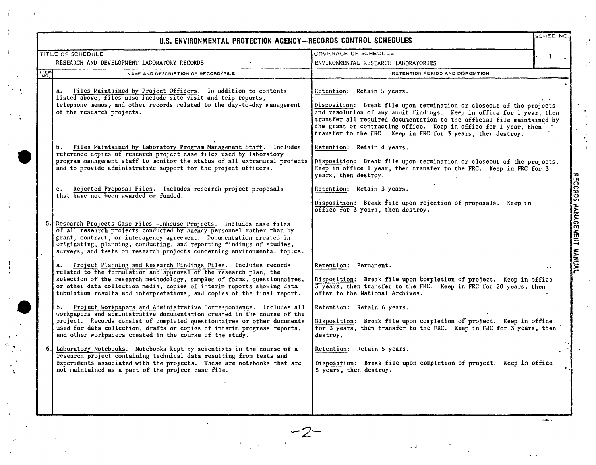|      | U.S. ENVIRONMENTAL PROTECTION AGENCY-RECORDS CONTROL SCHEDULES                                                                                                                                                                                                                                                                                                           |                                                                                                                                                                                                                                                                                                                                                                                          | SCHED.NO.                      |
|------|--------------------------------------------------------------------------------------------------------------------------------------------------------------------------------------------------------------------------------------------------------------------------------------------------------------------------------------------------------------------------|------------------------------------------------------------------------------------------------------------------------------------------------------------------------------------------------------------------------------------------------------------------------------------------------------------------------------------------------------------------------------------------|--------------------------------|
|      | <b>TITLE OF SCHEDULE</b>                                                                                                                                                                                                                                                                                                                                                 | COVERAGE OF SCHEDULE                                                                                                                                                                                                                                                                                                                                                                     | 1                              |
|      | RESEARCH AND DEVELOPMENT LABORATORY RECORDS                                                                                                                                                                                                                                                                                                                              | ENVIRONMENTAL RESEARCH LABORATORIES                                                                                                                                                                                                                                                                                                                                                      |                                |
| ITEM | NAME AND DESCRIPTION OF RECORD/FILE                                                                                                                                                                                                                                                                                                                                      | RETENTION PERIOD AND DISPOSITION                                                                                                                                                                                                                                                                                                                                                         |                                |
|      | Files Maintained by Project Officers. In addition to contents<br>а.<br>listed above, files also include site visit and trip reports,<br>telephone memos, and other records related to the day-to-day management<br>of the research projects.                                                                                                                             | Retention: Retain 5 years.<br>Disposition: Break file upon termination or closeout of the projects<br>and resolution of any audit findings. Keep in office for 1 year, then<br>transfer all required documentation to the official file maintained by<br>the grant or contracting office. Keep in office for 1 year, then<br>transfer to the FRC. Keep in FRC for 3 years, then destroy. |                                |
|      | Files Maintained by Laboratory Program Management Staff. lncludes<br>b.<br>reference copies of research project case files used by laboratory<br>program management staff to monitor the status of all extramural projects<br>and to provide administrative support for the project officers.                                                                            | Retention: Retain 4 years.<br>Disposition: Break file upon termination or closeout of the projects.<br>Keep in office 1 year, then transfer to the FRC. Keep in FRC for 3<br>years, then destroy.                                                                                                                                                                                        |                                |
|      | Rejected Proposal Files. Includes research project proposals<br>c.<br>that have not been awarded or funded.                                                                                                                                                                                                                                                              | Retention: Retain 3 years.<br>Disposition: Break file upon rejection of proposals. Keep in<br>office for 3 years, then destroy.                                                                                                                                                                                                                                                          | <b>RECORD</b><br><b>HANAGE</b> |
|      | Research Projects Case Files--Inhouse Projects. Includes case files<br>of all research projects conducted by Agency personnel rather than by<br>grant, contract, or interagency agreement. Documentation created in<br>originating, planning, conducting, and reporting findings of studies,<br>surveys, and tests on research projects concerning environmental topics. |                                                                                                                                                                                                                                                                                                                                                                                          | 斋<br>$\Xi$                     |
|      | Project Planning and Research Findings Files. Includes records<br>related to the formulation and approval of the research plan, the<br>selection of the research methodology, samples of forms, questionnaires,<br>or other data collection media, copies of interim reports showing data<br>tabulation results and interpretations, and copies of the final report.     | Retention: Permanent.<br>Disposition: Break file upon completion of project. Keep in office<br>3 years, then transfer to the FRC. Keep in FRC for 20 years, then<br>offer to the National Archives.                                                                                                                                                                                      | ivanyi                         |
|      | Project Workpapers and Administrative Correspondence. Includes all<br>b.<br>workpapers and administrative documentation created in the course of the<br>project. Records consist of completed questionnaires or other documents<br>used for data collection, drafts or copies of interim progress reports,<br>and other workpapers created in the course of the study.   | Retention: Retain 6 years.<br>Disposition: Break file upon completion of project. Keep in office<br>for 3 years, then transfer to the FRC. Keep in FRC for 3 years, then<br>destroy.                                                                                                                                                                                                     |                                |
| 6.   | Laboratory Notebooks. Notebooks kept by scientists in the course of a<br>research project containing technical data resulting from tests and<br>experiments associated with the projects. These are notebooks that are<br>not maintained as a part of the project case file.                                                                                             | Retention: Retain 5 years.<br>Disposition: Break file upon completion of project. Keep in office<br>5 years, then destroy.                                                                                                                                                                                                                                                               |                                |
|      | $-2-$                                                                                                                                                                                                                                                                                                                                                                    |                                                                                                                                                                                                                                                                                                                                                                                          |                                |

 $\sim$   $\approx$ 

 $\frac{1}{2}$ 

 $\frac{1}{2}$  ,

 $\bar{\omega}$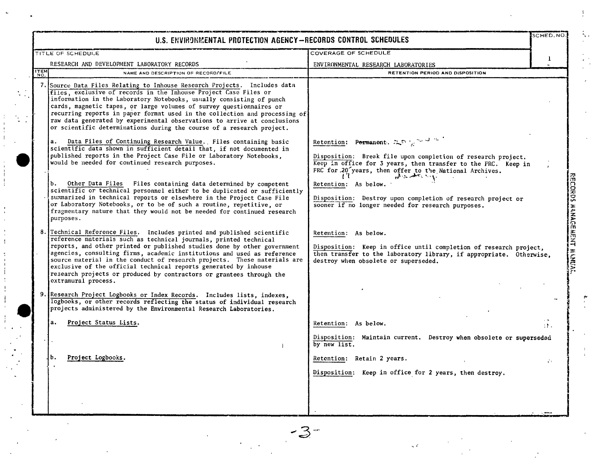|             | U.S. ENVIRONMENTAL PROTECTION AGENCY-RECORDS CONTROL SCHEDULES                                                                                                                                                                                                                                                                                                                                                                                                                                                                                                                                                                                                                                                                                                                                                                                                                                                                                        |                                                                                                                                                                                                                                                                                                                 | SCHED.NO     |
|-------------|-------------------------------------------------------------------------------------------------------------------------------------------------------------------------------------------------------------------------------------------------------------------------------------------------------------------------------------------------------------------------------------------------------------------------------------------------------------------------------------------------------------------------------------------------------------------------------------------------------------------------------------------------------------------------------------------------------------------------------------------------------------------------------------------------------------------------------------------------------------------------------------------------------------------------------------------------------|-----------------------------------------------------------------------------------------------------------------------------------------------------------------------------------------------------------------------------------------------------------------------------------------------------------------|--------------|
|             | TITLE OF SCHEDULE                                                                                                                                                                                                                                                                                                                                                                                                                                                                                                                                                                                                                                                                                                                                                                                                                                                                                                                                     | <b>COVERAGE OF SCHEDULE</b>                                                                                                                                                                                                                                                                                     |              |
|             | RESEARCH AND DEVELOPMENT LABORATORY RECORDS                                                                                                                                                                                                                                                                                                                                                                                                                                                                                                                                                                                                                                                                                                                                                                                                                                                                                                           | ENVIRONMENTAL RESEARCH LABORATORIES                                                                                                                                                                                                                                                                             | $\mathbf{1}$ |
| <b>ITEM</b> | NAME AND DESCRIPTION OF RECORD/FILE                                                                                                                                                                                                                                                                                                                                                                                                                                                                                                                                                                                                                                                                                                                                                                                                                                                                                                                   | RETENTION PERIOD AND DISPOSITION                                                                                                                                                                                                                                                                                |              |
| а.<br>b.    | 7. Source Data Files Relating to Inhouse Research Projects. Includes data<br>files, exclusive of records in the Inhouse Project Case Files or<br>information in the Laboratory Notebooks, usually consisting of punch<br>cards, magnetic tapes, or large volumes of survey questionnaires or<br>recurring reports in paper format used in the collection and processing of<br>raw data generated by experimental observations to arrive at conclusions<br>or scientific determinations during the course of a research project.<br>Data Files of Continuing Research Value. Files containing basic<br>scientific data shown in sufficient detail that, if not documented in<br>published reports in the Project Case File or Laboratory Notebooks,<br>would be needed for continued research purposes.<br>Other Data Files Files containing data determined by competent<br>scientific or technical personnel either to be duplicated or sufficiently | Retention: Permanent, $\mathbb{R}^{n} \times \mathbb{R}^{n}$<br>Disposition: Break file upon completion of research project.<br>Keep in office for 3 years, then transfer to the FRC. Keep in<br>FRC for 20 years, then offer to the National Archives.<br>المهادرة بالاستعمال وزاراتهم<br>Retention: As below. |              |
|             | summarized in technical reports or elsewhere in the Project Case File<br>or Laboratory Notebooks, or to be of such a routine, repetitive, or<br>fragmentary nature that they would not be needed for continued research<br>purposes.                                                                                                                                                                                                                                                                                                                                                                                                                                                                                                                                                                                                                                                                                                                  | Disposition: Destroy upon completion of research project or<br>sooner if no longer needed for research purposes.                                                                                                                                                                                                |              |
|             | 8. Technical Reference Files. Includes printed and published scientific<br>reference materials such as technical journals, printed technical<br>reports, and other printed or published studies done by other government<br>agencies, consulting firms, academic institutions and used as reference<br>source material in the conduct of research projects. These materials are<br>exclusive of the official technical reports generated by inhouse<br>research projects or produced by contractors or grantees through the<br>extramural process.                                                                                                                                                                                                                                                                                                                                                                                                    | Retention: As below.<br>Disposition: Keep in office until completion of research project,<br>then transfer to the laboratory library, if appropriate. Otherwise,<br>destroy when obsolete or superseded.                                                                                                        |              |
|             | 9. Research Project Logbooks or Index Records. Includes lists, indexes,<br>logbooks, or other records reflecting the status of individual research<br>projects administered by the Environmental Research Laboratories.                                                                                                                                                                                                                                                                                                                                                                                                                                                                                                                                                                                                                                                                                                                               |                                                                                                                                                                                                                                                                                                                 |              |
| а.          | Project Status Lists.                                                                                                                                                                                                                                                                                                                                                                                                                                                                                                                                                                                                                                                                                                                                                                                                                                                                                                                                 | Retention: As below.                                                                                                                                                                                                                                                                                            | иħ.          |
|             |                                                                                                                                                                                                                                                                                                                                                                                                                                                                                                                                                                                                                                                                                                                                                                                                                                                                                                                                                       | Disposition: Maintain current. Destroy when obsolete or superseded<br>by new list.                                                                                                                                                                                                                              |              |
| ь.          | Project Logbooks.                                                                                                                                                                                                                                                                                                                                                                                                                                                                                                                                                                                                                                                                                                                                                                                                                                                                                                                                     | Retention: Retain 2 years.                                                                                                                                                                                                                                                                                      | Wν           |
|             |                                                                                                                                                                                                                                                                                                                                                                                                                                                                                                                                                                                                                                                                                                                                                                                                                                                                                                                                                       | Disposition: Keep in office for 2 years, then destroy.                                                                                                                                                                                                                                                          |              |

 $\mathbf{L}$ 

 $\frac{1}{2}$  .

 $\mathbb{Q}_\ell$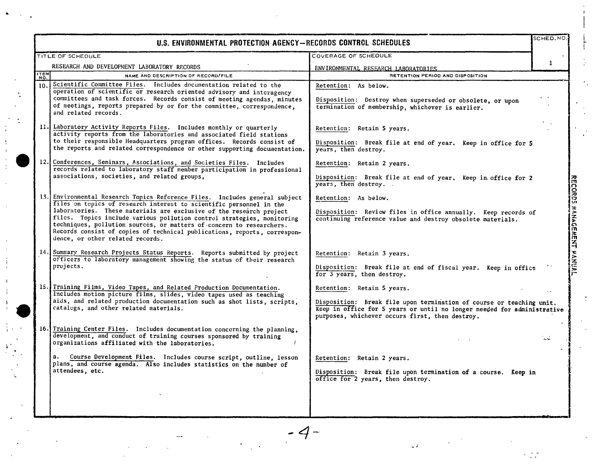|             | U.S. ENVIRONMENTAL PROTECTION AGENCY--RECORDS CONTROL SCHEDULES                                                                                                                                                                                                                                                                                                                                                                                                                             |                                                                                                                                                                                                                                  | SCHED.NO |  |
|-------------|---------------------------------------------------------------------------------------------------------------------------------------------------------------------------------------------------------------------------------------------------------------------------------------------------------------------------------------------------------------------------------------------------------------------------------------------------------------------------------------------|----------------------------------------------------------------------------------------------------------------------------------------------------------------------------------------------------------------------------------|----------|--|
|             | TITLE OF SCHEDULE                                                                                                                                                                                                                                                                                                                                                                                                                                                                           | COVERAGE OF SCHEDULE                                                                                                                                                                                                             |          |  |
|             | RESEARCH AND DEVELOPMENT LABORATORY RECORDS                                                                                                                                                                                                                                                                                                                                                                                                                                                 | ENVIRONMENTAL RESEARCH LABORATORIES                                                                                                                                                                                              | -1       |  |
| <b>ITEM</b> | NAME AND DESCRIPTION OF RECORD/FILE                                                                                                                                                                                                                                                                                                                                                                                                                                                         | RETENTION PERIOD AND DISPOSITION                                                                                                                                                                                                 |          |  |
|             | 10. Scientific Committee Files. Includes documentation related to the<br>operation of scientific or research oriented advisory and interagency<br>committees and task forces. Records consist of meeting agendas, minutes<br>of meetings, reports prepared by or for the committee, correspondence,<br>and related records.                                                                                                                                                                 | Retention: As below.<br>Disposition: Destroy when superseded or obsolete, or upon<br>termination of membership, whichever is earlier.                                                                                            |          |  |
|             | 11. Laboratory Activity Reports Files. Includes monthly or quarterly<br>activity reports from the laboratories and associated field stations<br>to their responsible Headquarters program offices. Records consist of<br>the reports and related correspondence or other supporting documentation.                                                                                                                                                                                          | Retention: Retain 5 years.<br>Disposition: Break file at end of year. Keep in office for 5<br>years, then destroy.                                                                                                               |          |  |
|             | 12. Conferences, Seminars, Associations, and Societies Files. Includes<br>records related to laboratory staff member participation in professional<br>associations, societies, and related groups,                                                                                                                                                                                                                                                                                          | Retention: Retain 2 years.<br>Disposition: Break file at end of year. Keep in office for 2<br>years, then destroy.                                                                                                               |          |  |
|             | 13. Environmental Research Topics Reference Files. Includes general subject<br>files on topics of research interest to scientific personnel in the<br>laboratories. These materials are exclusive of the research project<br>files. Topics include various pollution control strategies, monitoring<br>techniques, pollution sources, or matters of concern to researchers.<br>Records consist of copies of technical publications, reports, correspon-<br>dence, or other related records. | Retention: As below.<br>Disposition: Review files in office annually. Keep records of<br>continuing reference value and destroy obsolete materials.                                                                              |          |  |
|             | 14. Summary Research Projects Status Reports. Reports submitted by project<br>officers to laboratory management showing the status of their research<br>projects.                                                                                                                                                                                                                                                                                                                           | Retention: Retain 3 years.<br>Disposition: Break file at end of fiscal year. Keep in office<br>for 3 years, then destroy.                                                                                                        |          |  |
|             | 15. Training Films, Video Tapes, and Related Production Documentation.<br>Includes motion picture films, slides, video tapes used as teaching<br>aids, and related production documentation such as shot lists, scripts,<br>catalogs, and other related materials.                                                                                                                                                                                                                          | Retention: Retain 5 years.<br>Disposition: Break file upon termination of course or teaching unit.<br>Keep in office for 5 years or until no longer needed for administrative<br>purposes, whichever occurs first, then destroy. |          |  |
|             | 16. Training Center Files. Includes documentation concerning the planning,<br>development, and conduct of training courses sponsored by training<br>organizations affiliated with the laboratories.                                                                                                                                                                                                                                                                                         |                                                                                                                                                                                                                                  | اما عال  |  |
|             | Course Development Files. Includes course script, outline, lesson<br>plans, and course agenda. Also includes statistics on the number of<br>attendees, etc.                                                                                                                                                                                                                                                                                                                                 | Retention: Retain 2 years.<br>Disposition: Break file upon termination of a course. Keep in<br>office for 2 years, then destroy.                                                                                                 |          |  |
|             |                                                                                                                                                                                                                                                                                                                                                                                                                                                                                             |                                                                                                                                                                                                                                  |          |  |

 $\bullet$ 

 $\overline{\mathbf{3}}$ 

्र

 $-4-$ 

 $\frac{1}{2}$ 

 $\sim$   $\beta$